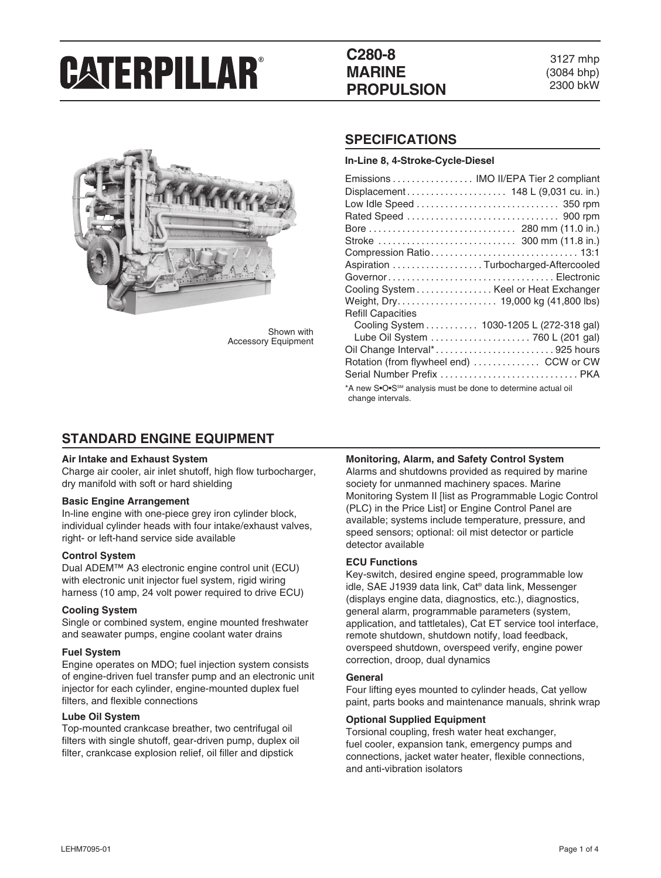# **C280-8 MARINE PROPULSION**

3127 mhp (3084 bhp) 2300 bkW



Shown with Accessory Equipment

### **SPECIFICATIONS**

**In-Line 8, 4-Stroke-Cycle-Diesel**

| Emissions  IMO II/EPA Tier 2 compliant                                                        |  |  |  |
|-----------------------------------------------------------------------------------------------|--|--|--|
| Displacement 148 L (9,031 cu. in.)                                                            |  |  |  |
|                                                                                               |  |  |  |
|                                                                                               |  |  |  |
|                                                                                               |  |  |  |
|                                                                                               |  |  |  |
|                                                                                               |  |  |  |
| Aspiration Turbocharged-Aftercooled                                                           |  |  |  |
|                                                                                               |  |  |  |
| Cooling System Keel or Heat Exchanger                                                         |  |  |  |
|                                                                                               |  |  |  |
| <b>Refill Capacities</b>                                                                      |  |  |  |
| Cooling System 1030-1205 L (272-318 gal)                                                      |  |  |  |
| Lube Oil System  760 L (201 gal)                                                              |  |  |  |
| Oil Change Interval*925 hours                                                                 |  |  |  |
| Rotation (from flywheel end)  CCW or CW                                                       |  |  |  |
| Serial Number Prefix  PKA                                                                     |  |  |  |
| *A new S•O•S <sup>SM</sup> analysis must be done to determine actual oil<br>change intervals. |  |  |  |

### **STANDARD ENGINE EQUIPMENT**

#### **Air Intake and Exhaust System**

Charge air cooler, air inlet shutoff, high flow turbocharger, dry manifold with soft or hard shielding

#### **Basic Engine Arrangement**

In-line engine with one-piece grey iron cylinder block, individual cylinder heads with four intake/exhaust valves, right- or left-hand service side available

#### **Control System**

Dual ADEM™ A3 electronic engine control unit (ECU) with electronic unit injector fuel system, rigid wiring harness (10 amp, 24 volt power required to drive ECU)

#### **Cooling System**

Single or combined system, engine mounted freshwater and seawater pumps, engine coolant water drains

#### **Fuel System**

Engine operates on MDO; fuel injection system consists of engine-driven fuel transfer pump and an electronic unit injector for each cylinder, engine-mounted duplex fuel filters, and flexible connections

#### **Lube Oil System**

Top-mounted crankcase breather, two centrifugal oil filters with single shutoff, gear-driven pump, duplex oil filter, crankcase explosion relief, oil filler and dipstick

#### **Monitoring, Alarm, and Safety Control System**

Alarms and shutdowns provided as required by marine society for unmanned machinery spaces. Marine Monitoring System II [list as Programmable Logic Control (PLC) in the Price List] or Engine Control Panel are available; systems include temperature, pressure, and speed sensors; optional: oil mist detector or particle detector available

#### **ECU Functions**

Key-switch, desired engine speed, programmable low idle, SAE J1939 data link, Cat® data link, Messenger (displays engine data, diagnostics, etc.), diagnostics, general alarm, programmable parameters (system, application, and tattletales), Cat ET service tool interface, remote shutdown, shutdown notify, load feedback, overspeed shutdown, overspeed verify, engine power correction, droop, dual dynamics

#### **General**

Four lifting eyes mounted to cylinder heads, Cat yellow paint, parts books and maintenance manuals, shrink wrap

#### **Optional Supplied Equipment**

Torsional coupling, fresh water heat exchanger, fuel cooler, expansion tank, emergency pumps and connections, jacket water heater, flexible connections, and anti-vibration isolators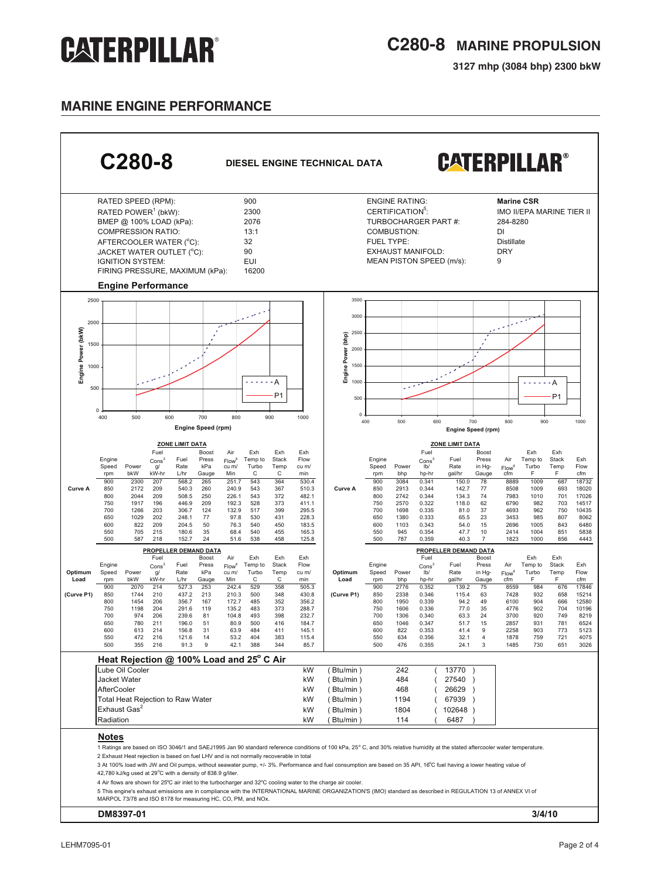**3127 mhp (3084 bhp) 2300 bkW**

### **MARINE ENGINE performance**

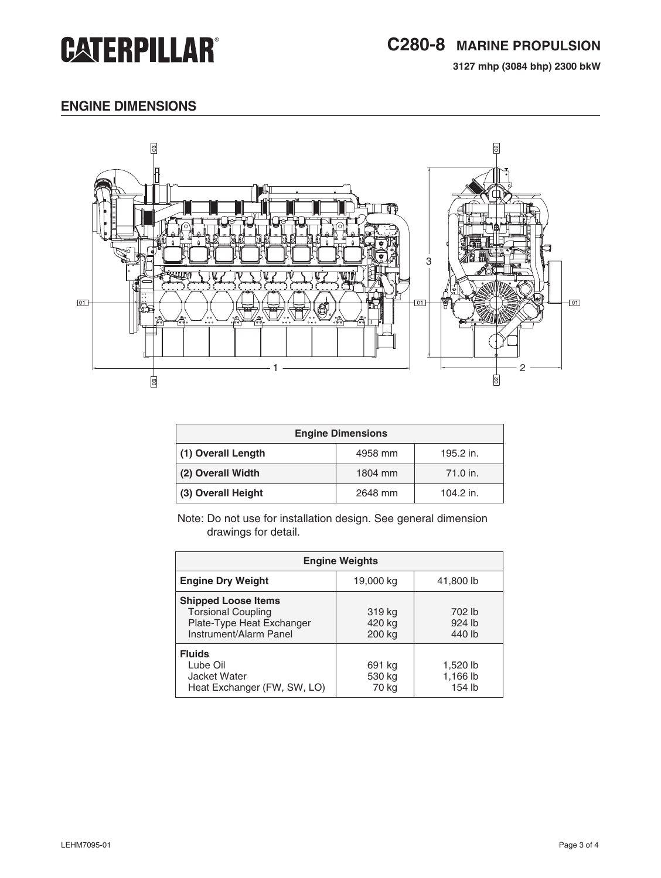**3127 mhp (3084 bhp) 2300 bkW**

# **engine dimensions**



| <b>Engine Dimensions</b> |         |           |  |
|--------------------------|---------|-----------|--|
| (1) Overall Length       | 4958 mm | 195.2 in. |  |
| (2) Overall Width        | 1804 mm | 71.0 in.  |  |
| (3) Overall Height       | 2648 mm | 104.2 in. |  |

Note: Do not use for installation design. See general dimension drawings for detail.

| <b>Engine Weights</b>                                                                                          |                            |                                |  |
|----------------------------------------------------------------------------------------------------------------|----------------------------|--------------------------------|--|
| <b>Engine Dry Weight</b>                                                                                       | 19,000 kg                  | 41,800 lb                      |  |
| <b>Shipped Loose Items</b><br><b>Torsional Coupling</b><br>Plate-Type Heat Exchanger<br>Instrument/Alarm Panel | 319 kg<br>420 kg<br>200 kg | 702 lb<br>924 lb<br>440 lb     |  |
| <b>Fluids</b><br>Lube Oil<br>Jacket Water<br>Heat Exchanger (FW, SW, LO)                                       | 691 kg<br>530 kg<br>70 kg  | 1,520 lb<br>1,166 lb<br>154 lb |  |